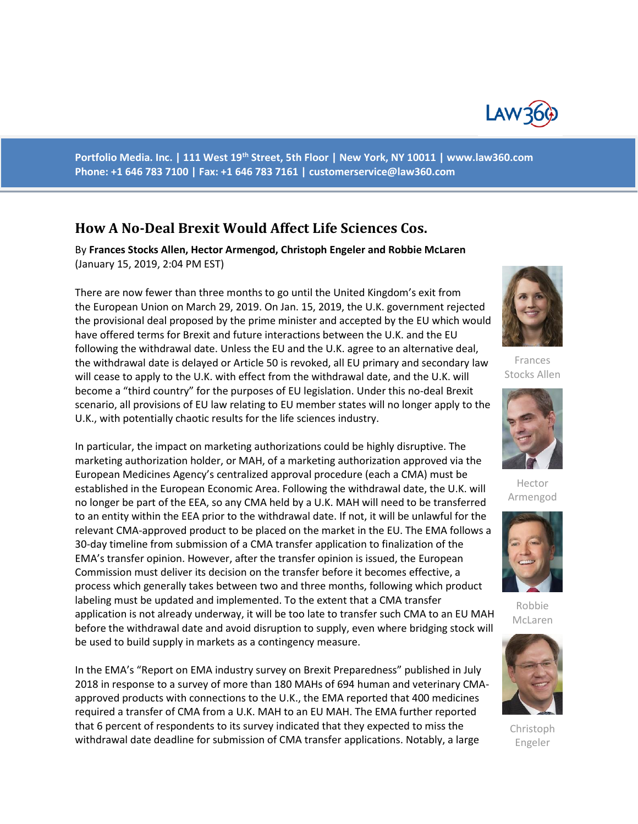

**Portfolio Media. Inc. | 111 West 19th Street, 5th Floor | New York, NY 10011 | www.law360.com Phone: +1 646 783 7100 | Fax: +1 646 783 7161 | [customerservice@law360.com](mailto:customerservice@law360.com)**

# **How A No-Deal Brexit Would Affect Life Sciences Cos.**

By **Frances Stocks Allen, Hector Armengod, Christoph Engeler and Robbie McLaren** (January 15, 2019, 2:04 PM EST)

There are now fewer than three months to go until the United Kingdom's exit from the European Union on March 29, 2019. On Jan. 15, 2019, the U.K. government rejected the provisional deal proposed by the prime minister and accepted by the EU which would have offered terms for Brexit and future interactions between the U.K. and the EU following the withdrawal date. Unless the EU and the U.K. agree to an alternative deal, the withdrawal date is delayed or Article 50 is revoked, all EU primary and secondary law will cease to apply to the U.K. with effect from the withdrawal date, and the U.K. will become a "third country" for the purposes of EU legislation. Under this no-deal Brexit scenario, all provisions of EU law relating to EU member states will no longer apply to the U.K., with potentially chaotic results for the life sciences industry.

In particular, the impact on marketing authorizations could be highly disruptive. The marketing authorization holder, or MAH, of a marketing authorization approved via the European Medicines Agency's centralized approval procedure (each a CMA) must be established in the European Economic Area. Following the withdrawal date, the U.K. will no longer be part of the EEA, so any CMA held by a U.K. MAH will need to be transferred to an entity within the EEA prior to the withdrawal date. If not, it will be unlawful for the relevant CMA-approved product to be placed on the market in the EU. The EMA follows a 30-day timeline from submission of a CMA transfer application to finalization of the EMA's transfer opinion. However, after the transfer opinion is issued, the European Commission must deliver its decision on the transfer before it becomes effective, a process which generally takes between two and three months, following which product labeling must be updated and implemented. To the extent that a CMA transfer application is not already underway, it will be too late to transfer such CMA to an EU MAH before the withdrawal date and avoid disruption to supply, even where bridging stock will be used to build supply in markets as a contingency measure.

In the EMA's "Report on EMA industry survey on Brexit Preparedness" published in July 2018 in response to a survey of more than 180 MAHs of 694 human and veterinary CMAapproved products with connections to the U.K., the EMA reported that 400 medicines required a transfer of CMA from a U.K. MAH to an EU MAH. The EMA further reported that 6 percent of respondents to its survey indicated that they expected to miss the withdrawal date deadline for submission of CMA transfer applications. Notably, a large



Frances Stocks Allen



Hector Armengod



Robbie McLaren



Christoph Engeler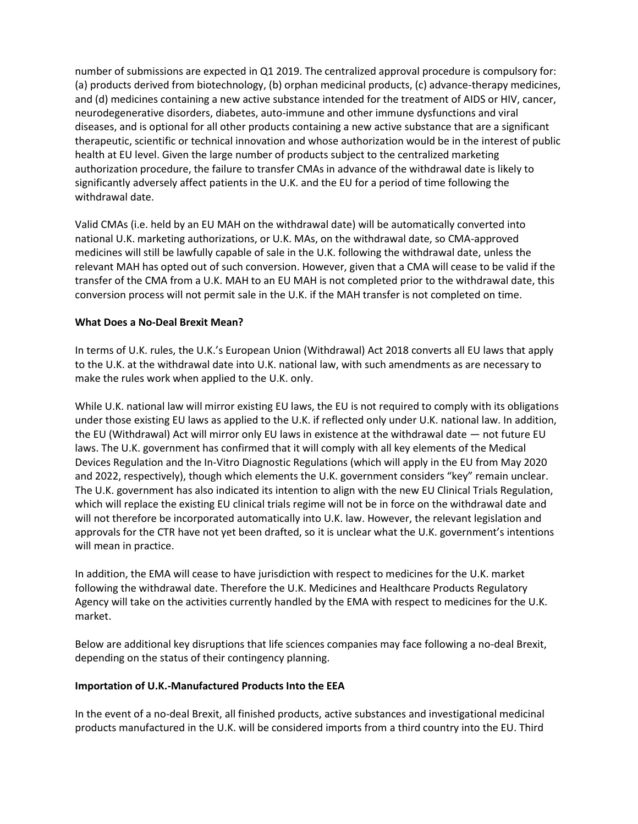number of submissions are expected in Q1 2019. The centralized approval procedure is compulsory for: (a) products derived from biotechnology, (b) orphan medicinal products, (c) advance-therapy medicines, and (d) medicines containing a new active substance intended for the treatment of AIDS or HIV, cancer, neurodegenerative disorders, diabetes, auto-immune and other immune dysfunctions and viral diseases, and is optional for all other products containing a new active substance that are a significant therapeutic, scientific or technical innovation and whose authorization would be in the interest of public health at EU level. Given the large number of products subject to the centralized marketing authorization procedure, the failure to transfer CMAs in advance of the withdrawal date is likely to significantly adversely affect patients in the U.K. and the EU for a period of time following the withdrawal date.

Valid CMAs (i.e. held by an EU MAH on the withdrawal date) will be automatically converted into national U.K. marketing authorizations, or U.K. MAs, on the withdrawal date, so CMA-approved medicines will still be lawfully capable of sale in the U.K. following the withdrawal date, unless the relevant MAH has opted out of such conversion. However, given that a CMA will cease to be valid if the transfer of the CMA from a U.K. MAH to an EU MAH is not completed prior to the withdrawal date, this conversion process will not permit sale in the U.K. if the MAH transfer is not completed on time.

# **What Does a No-Deal Brexit Mean?**

In terms of U.K. rules, the U.K.'s European Union (Withdrawal) Act 2018 converts all EU laws that apply to the U.K. at the withdrawal date into U.K. national law, with such amendments as are necessary to make the rules work when applied to the U.K. only.

While U.K. national law will mirror existing EU laws, the EU is not required to comply with its obligations under those existing EU laws as applied to the U.K. if reflected only under U.K. national law. In addition, the EU (Withdrawal) Act will mirror only EU laws in existence at the withdrawal date — not future EU laws. The U.K. government has confirmed that it will comply with all key elements of the Medical Devices Regulation and the In-Vitro Diagnostic Regulations (which will apply in the EU from May 2020 and 2022, respectively), though which elements the U.K. government considers "key" remain unclear. The U.K. government has also indicated its intention to align with the new EU Clinical Trials Regulation, which will replace the existing EU clinical trials regime will not be in force on the withdrawal date and will not therefore be incorporated automatically into U.K. law. However, the relevant legislation and approvals for the CTR have not yet been drafted, so it is unclear what the U.K. government's intentions will mean in practice.

In addition, the EMA will cease to have jurisdiction with respect to medicines for the U.K. market following the withdrawal date. Therefore the U.K. Medicines and Healthcare Products Regulatory Agency will take on the activities currently handled by the EMA with respect to medicines for the U.K. market.

Below are additional key disruptions that life sciences companies may face following a no-deal Brexit, depending on the status of their contingency planning.

# **Importation of U.K.-Manufactured Products Into the EEA**

In the event of a no-deal Brexit, all finished products, active substances and investigational medicinal products manufactured in the U.K. will be considered imports from a third country into the EU. Third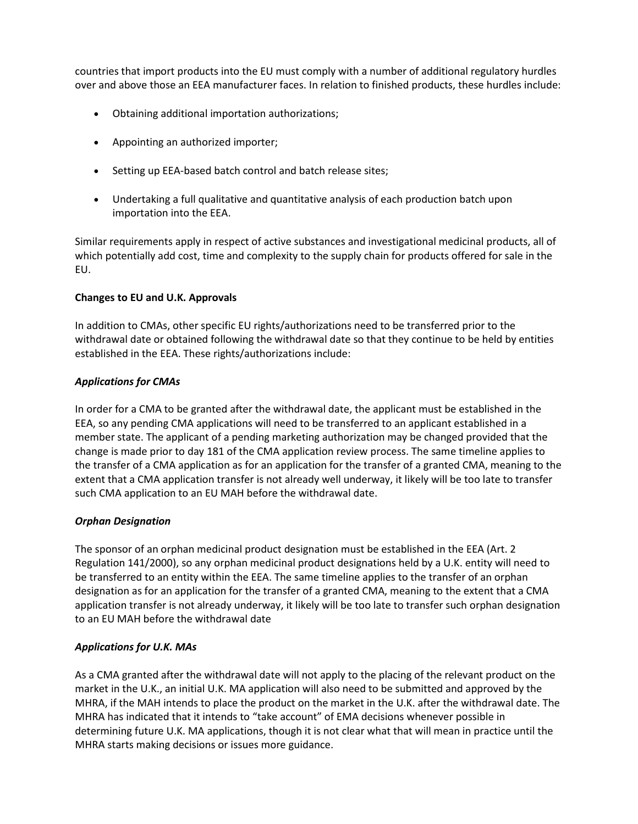countries that import products into the EU must comply with a number of additional regulatory hurdles over and above those an EEA manufacturer faces. In relation to finished products, these hurdles include:

- Obtaining additional importation authorizations;
- Appointing an authorized importer;
- Setting up EEA-based batch control and batch release sites;
- Undertaking a full qualitative and quantitative analysis of each production batch upon importation into the EEA.

Similar requirements apply in respect of active substances and investigational medicinal products, all of which potentially add cost, time and complexity to the supply chain for products offered for sale in the EU.

#### **Changes to EU and U.K. Approvals**

In addition to CMAs, other specific EU rights/authorizations need to be transferred prior to the withdrawal date or obtained following the withdrawal date so that they continue to be held by entities established in the EEA. These rights/authorizations include:

#### *Applications for CMAs*

In order for a CMA to be granted after the withdrawal date, the applicant must be established in the EEA, so any pending CMA applications will need to be transferred to an applicant established in a member state. The applicant of a pending marketing authorization may be changed provided that the change is made prior to day 181 of the CMA application review process. The same timeline applies to the transfer of a CMA application as for an application for the transfer of a granted CMA, meaning to the extent that a CMA application transfer is not already well underway, it likely will be too late to transfer such CMA application to an EU MAH before the withdrawal date.

# *Orphan Designation*

The sponsor of an orphan medicinal product designation must be established in the EEA (Art. 2 Regulation 141/2000), so any orphan medicinal product designations held by a U.K. entity will need to be transferred to an entity within the EEA. The same timeline applies to the transfer of an orphan designation as for an application for the transfer of a granted CMA, meaning to the extent that a CMA application transfer is not already underway, it likely will be too late to transfer such orphan designation to an EU MAH before the withdrawal date

# *Applications for U.K. MAs*

As a CMA granted after the withdrawal date will not apply to the placing of the relevant product on the market in the U.K., an initial U.K. MA application will also need to be submitted and approved by the MHRA, if the MAH intends to place the product on the market in the U.K. after the withdrawal date. The MHRA has indicated that it intends to "take account" of EMA decisions whenever possible in determining future U.K. MA applications, though it is not clear what that will mean in practice until the MHRA starts making decisions or issues more guidance.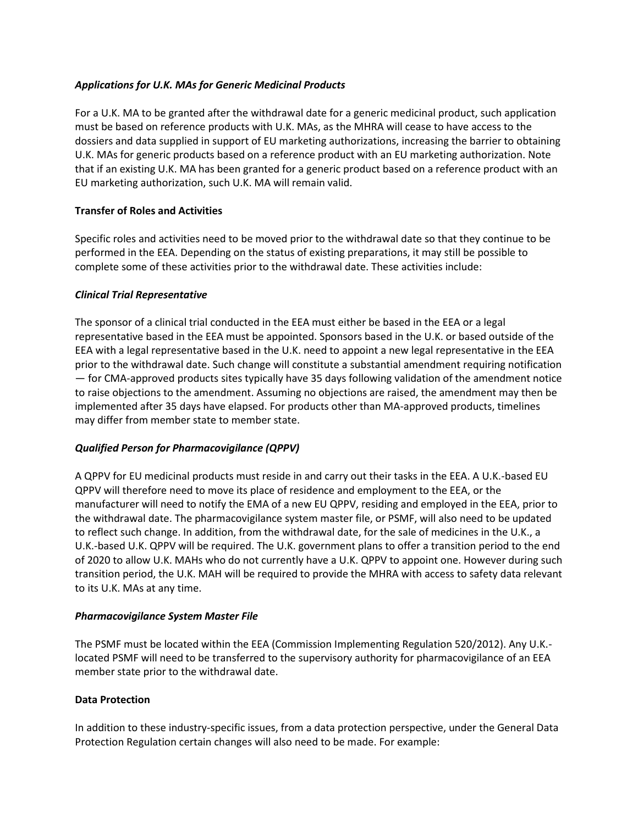# *Applications for U.K. MAs for Generic Medicinal Products*

For a U.K. MA to be granted after the withdrawal date for a generic medicinal product, such application must be based on reference products with U.K. MAs, as the MHRA will cease to have access to the dossiers and data supplied in support of EU marketing authorizations, increasing the barrier to obtaining U.K. MAs for generic products based on a reference product with an EU marketing authorization. Note that if an existing U.K. MA has been granted for a generic product based on a reference product with an EU marketing authorization, such U.K. MA will remain valid.

# **Transfer of Roles and Activities**

Specific roles and activities need to be moved prior to the withdrawal date so that they continue to be performed in the EEA. Depending on the status of existing preparations, it may still be possible to complete some of these activities prior to the withdrawal date. These activities include:

# *Clinical Trial Representative*

The sponsor of a clinical trial conducted in the EEA must either be based in the EEA or a legal representative based in the EEA must be appointed. Sponsors based in the U.K. or based outside of the EEA with a legal representative based in the U.K. need to appoint a new legal representative in the EEA prior to the withdrawal date. Such change will constitute a substantial amendment requiring notification — for CMA-approved products sites typically have 35 days following validation of the amendment notice to raise objections to the amendment. Assuming no objections are raised, the amendment may then be implemented after 35 days have elapsed. For products other than MA-approved products, timelines may differ from member state to member state.

# *Qualified Person for Pharmacovigilance (QPPV)*

A QPPV for EU medicinal products must reside in and carry out their tasks in the EEA. A U.K.-based EU QPPV will therefore need to move its place of residence and employment to the EEA, or the manufacturer will need to notify the EMA of a new EU QPPV, residing and employed in the EEA, prior to the withdrawal date. The pharmacovigilance system master file, or PSMF, will also need to be updated to reflect such change. In addition, from the withdrawal date, for the sale of medicines in the U.K., a U.K.-based U.K. QPPV will be required. The U.K. government plans to offer a transition period to the end of 2020 to allow U.K. MAHs who do not currently have a U.K. QPPV to appoint one. However during such transition period, the U.K. MAH will be required to provide the MHRA with access to safety data relevant to its U.K. MAs at any time.

# *Pharmacovigilance System Master File*

The PSMF must be located within the EEA (Commission Implementing Regulation 520/2012). Any U.K. located PSMF will need to be transferred to the supervisory authority for pharmacovigilance of an EEA member state prior to the withdrawal date.

# **Data Protection**

In addition to these industry-specific issues, from a data protection perspective, under the General Data Protection Regulation certain changes will also need to be made. For example: